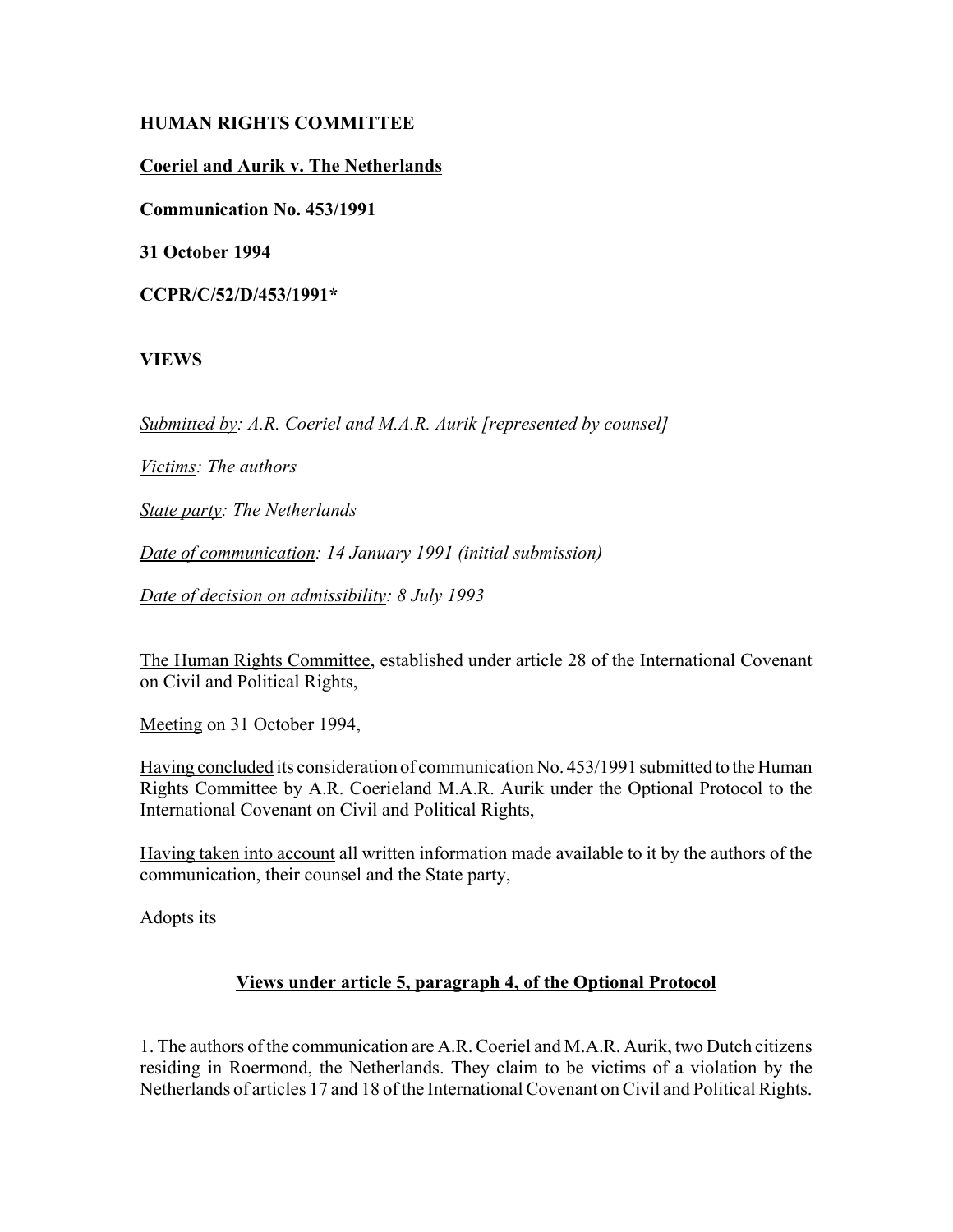## **HUMAN RIGHTS COMMITTEE**

# **Coeriel and Aurik v. The Netherlands**

**Communication No. 453/1991**

**31 October 1994**

**CCPR/C/52/D/453/1991\***

## **VIEWS**

*Submitted by: A.R. Coeriel and M.A.R. Aurik [represented by counsel]*

*Victims: The authors*

*State party: The Netherlands*

*Date of communication: 14 January 1991 (initial submission)*

*Date of decision on admissibility: 8 July 1993*

The Human Rights Committee, established under article 28 of the International Covenant on Civil and Political Rights,

Meeting on 31 October 1994,

Having concluded its consideration of communication No. 453/1991 submitted to the Human Rights Committee by A.R. Coerieland M.A.R. Aurik under the Optional Protocol to the International Covenant on Civil and Political Rights,

Having taken into account all written information made available to it by the authors of the communication, their counsel and the State party,

Adopts its

## **Views under article 5, paragraph 4, of the Optional Protocol**

1. The authors of the communication are A.R. Coeriel and M.A.R. Aurik, two Dutch citizens residing in Roermond, the Netherlands. They claim to be victims of a violation by the Netherlands of articles 17 and 18 of the International Covenant on Civil and Political Rights.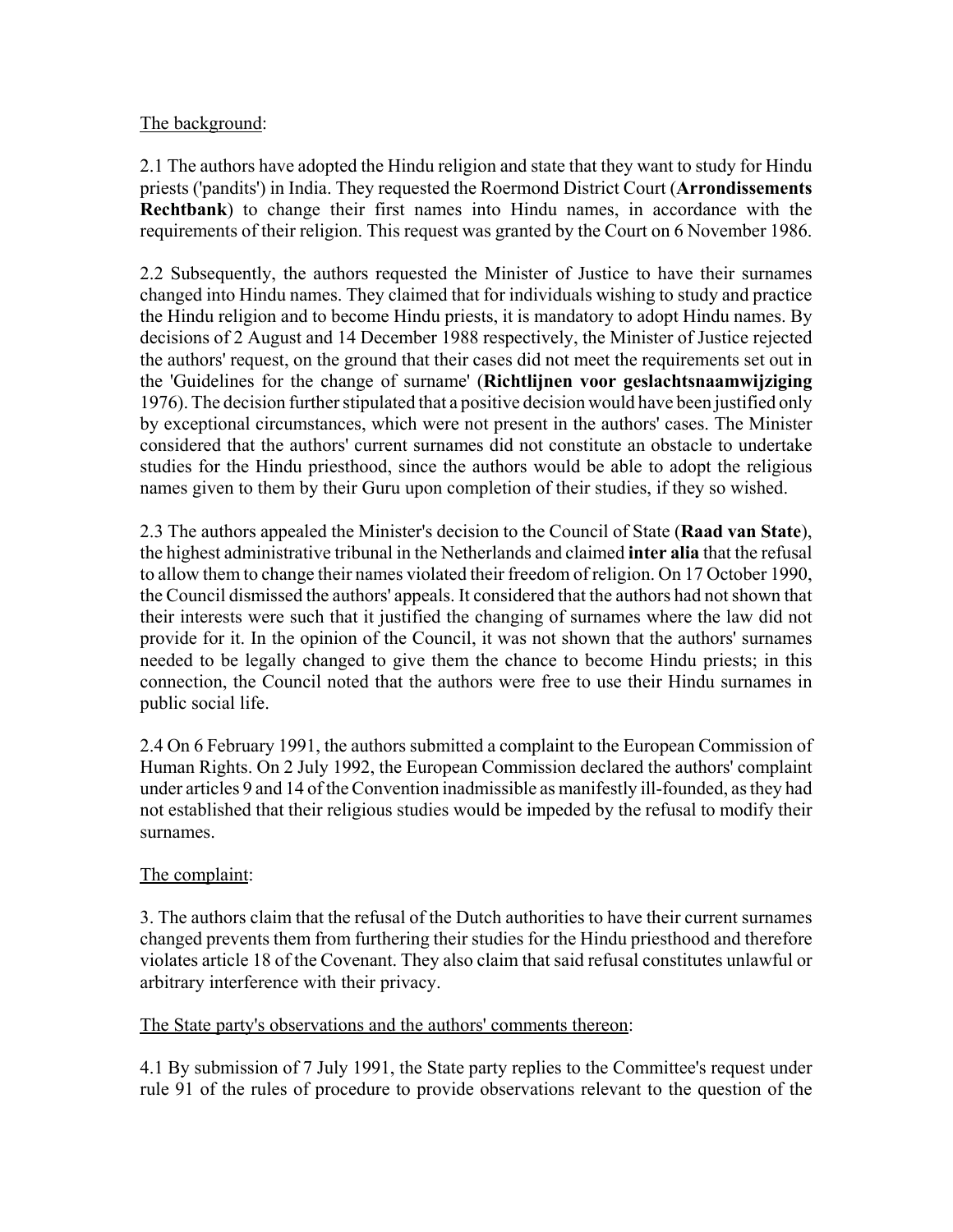# The background:

2.1 The authors have adopted the Hindu religion and state that they want to study for Hindu priests ('pandits') in India. They requested the Roermond District Court (**Arrondissements Rechtbank**) to change their first names into Hindu names, in accordance with the requirements of their religion. This request was granted by the Court on 6 November 1986.

2.2 Subsequently, the authors requested the Minister of Justice to have their surnames changed into Hindu names. They claimed that for individuals wishing to study and practice the Hindu religion and to become Hindu priests, it is mandatory to adopt Hindu names. By decisions of 2 August and 14 December 1988 respectively, the Minister of Justice rejected the authors' request, on the ground that their cases did not meet the requirements set out in the 'Guidelines for the change of surname' (**Richtlijnen voor geslachtsnaamwijziging** 1976). The decision further stipulated that a positive decision would have been justified only by exceptional circumstances, which were not present in the authors' cases. The Minister considered that the authors' current surnames did not constitute an obstacle to undertake studies for the Hindu priesthood, since the authors would be able to adopt the religious names given to them by their Guru upon completion of their studies, if they so wished.

2.3 The authors appealed the Minister's decision to the Council of State (**Raad van State**), the highest administrative tribunal in the Netherlands and claimed **inter alia** that the refusal to allow them to change their names violated their freedom of religion. On 17 October 1990, the Council dismissed the authors' appeals. It considered that the authors had not shown that their interests were such that it justified the changing of surnames where the law did not provide for it. In the opinion of the Council, it was not shown that the authors' surnames needed to be legally changed to give them the chance to become Hindu priests; in this connection, the Council noted that the authors were free to use their Hindu surnames in public social life.

2.4 On 6 February 1991, the authors submitted a complaint to the European Commission of Human Rights. On 2 July 1992, the European Commission declared the authors' complaint under articles 9 and 14 of the Convention inadmissible as manifestly ill-founded, as they had not established that their religious studies would be impeded by the refusal to modify their surnames.

## The complaint:

3. The authors claim that the refusal of the Dutch authorities to have their current surnames changed prevents them from furthering their studies for the Hindu priesthood and therefore violates article 18 of the Covenant. They also claim that said refusal constitutes unlawful or arbitrary interference with their privacy.

## The State party's observations and the authors' comments thereon:

4.1 By submission of 7 July 1991, the State party replies to the Committee's request under rule 91 of the rules of procedure to provide observations relevant to the question of the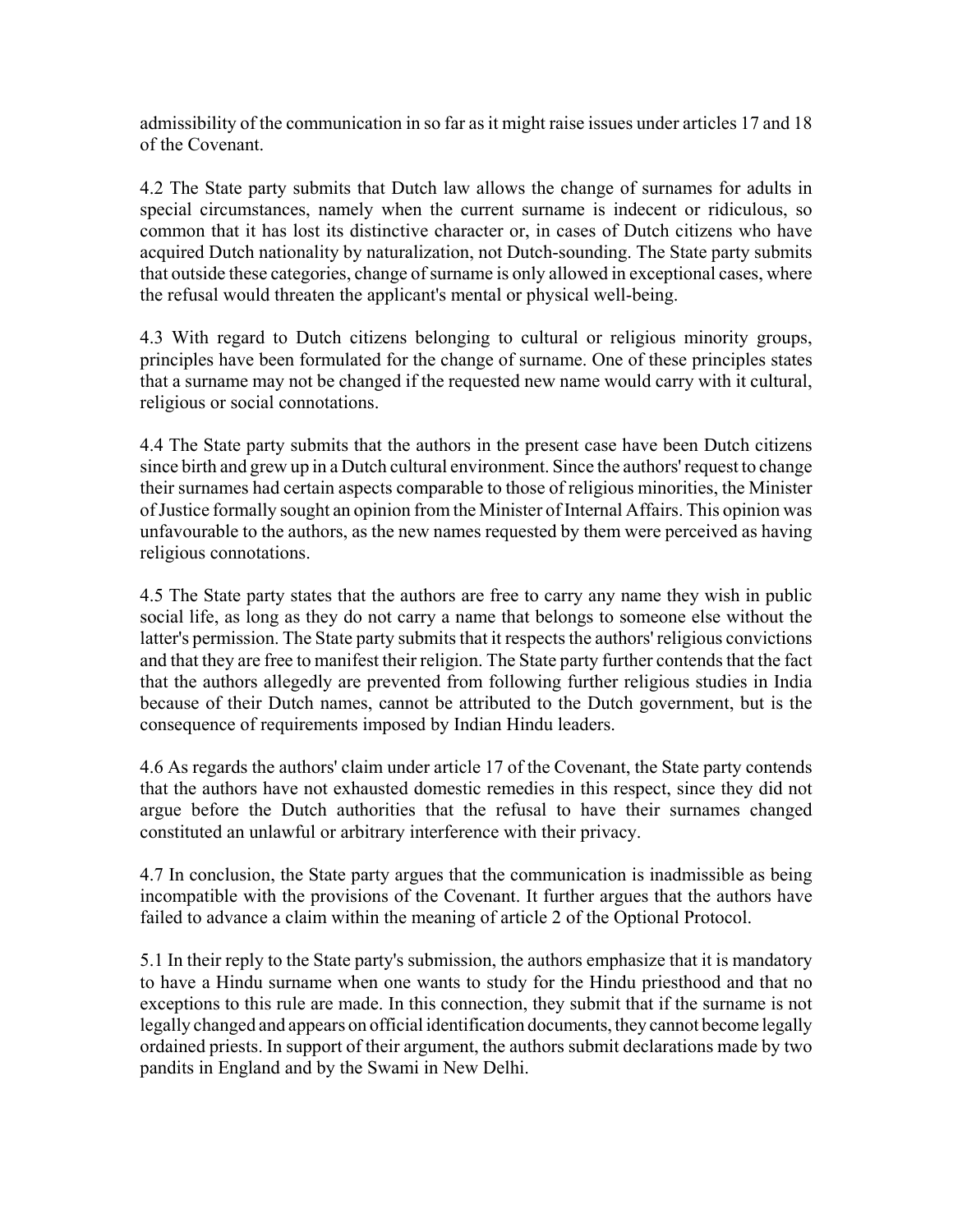admissibility of the communication in so far as it might raise issues under articles 17 and 18 of the Covenant.

4.2 The State party submits that Dutch law allows the change of surnames for adults in special circumstances, namely when the current surname is indecent or ridiculous, so common that it has lost its distinctive character or, in cases of Dutch citizens who have acquired Dutch nationality by naturalization, not Dutch-sounding. The State party submits that outside these categories, change of surname is only allowed in exceptional cases, where the refusal would threaten the applicant's mental or physical well-being.

4.3 With regard to Dutch citizens belonging to cultural or religious minority groups, principles have been formulated for the change of surname. One of these principles states that a surname may not be changed if the requested new name would carry with it cultural, religious or social connotations.

4.4 The State party submits that the authors in the present case have been Dutch citizens since birth and grew up in a Dutch cultural environment. Since the authors' request to change their surnames had certain aspects comparable to those of religious minorities, the Minister of Justice formally sought an opinion from the Minister of Internal Affairs. This opinion was unfavourable to the authors, as the new names requested by them were perceived as having religious connotations.

4.5 The State party states that the authors are free to carry any name they wish in public social life, as long as they do not carry a name that belongs to someone else without the latter's permission. The State party submits that it respects the authors' religious convictions and that they are free to manifest their religion. The State party further contends that the fact that the authors allegedly are prevented from following further religious studies in India because of their Dutch names, cannot be attributed to the Dutch government, but is the consequence of requirements imposed by Indian Hindu leaders.

4.6 As regards the authors' claim under article 17 of the Covenant, the State party contends that the authors have not exhausted domestic remedies in this respect, since they did not argue before the Dutch authorities that the refusal to have their surnames changed constituted an unlawful or arbitrary interference with their privacy.

4.7 In conclusion, the State party argues that the communication is inadmissible as being incompatible with the provisions of the Covenant. It further argues that the authors have failed to advance a claim within the meaning of article 2 of the Optional Protocol.

5.1 In their reply to the State party's submission, the authors emphasize that it is mandatory to have a Hindu surname when one wants to study for the Hindu priesthood and that no exceptions to this rule are made. In this connection, they submit that if the surname is not legally changed and appears on official identification documents, they cannot become legally ordained priests. In support of their argument, the authors submit declarations made by two pandits in England and by the Swami in New Delhi.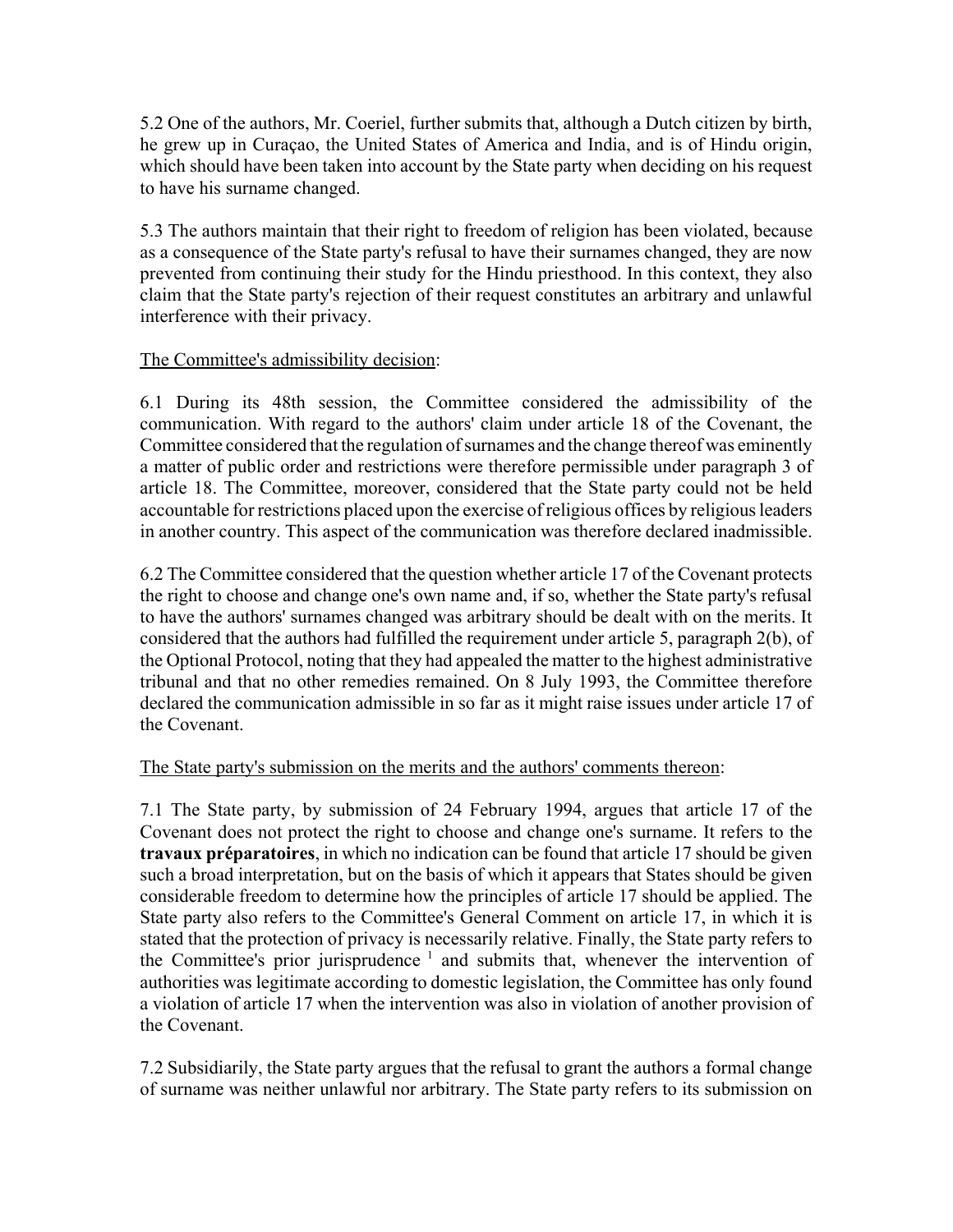5.2 One of the authors, Mr. Coeriel, further submits that, although a Dutch citizen by birth, he grew up in Curaçao, the United States of America and India, and is of Hindu origin, which should have been taken into account by the State party when deciding on his request to have his surname changed.

5.3 The authors maintain that their right to freedom of religion has been violated, because as a consequence of the State party's refusal to have their surnames changed, they are now prevented from continuing their study for the Hindu priesthood. In this context, they also claim that the State party's rejection of their request constitutes an arbitrary and unlawful interference with their privacy.

## The Committee's admissibility decision:

6.1 During its 48th session, the Committee considered the admissibility of the communication. With regard to the authors' claim under article 18 of the Covenant, the Committee considered that the regulation of surnames and the change thereof was eminently a matter of public order and restrictions were therefore permissible under paragraph 3 of article 18. The Committee, moreover, considered that the State party could not be held accountable for restrictions placed upon the exercise of religious offices by religious leaders in another country. This aspect of the communication was therefore declared inadmissible.

6.2 The Committee considered that the question whether article 17 of the Covenant protects the right to choose and change one's own name and, if so, whether the State party's refusal to have the authors' surnames changed was arbitrary should be dealt with on the merits. It considered that the authors had fulfilled the requirement under article 5, paragraph 2(b), of the Optional Protocol, noting that they had appealed the matter to the highest administrative tribunal and that no other remedies remained. On 8 July 1993, the Committee therefore declared the communication admissible in so far as it might raise issues under article 17 of the Covenant.

## The State party's submission on the merits and the authors' comments thereon:

7.1 The State party, by submission of 24 February 1994, argues that article 17 of the Covenant does not protect the right to choose and change one's surname. It refers to the **travaux préparatoires**, in which no indication can be found that article 17 should be given such a broad interpretation, but on the basis of which it appears that States should be given considerable freedom to determine how the principles of article 17 should be applied. The State party also refers to the Committee's General Comment on article 17, in which it is stated that the protection of privacy is necessarily relative. Finally, the State party refers to the Committee's prior jurisprudence  $1$  and submits that, whenever the intervention of authorities was legitimate according to domestic legislation, the Committee has only found a violation of article 17 when the intervention was also in violation of another provision of the Covenant.

7.2 Subsidiarily, the State party argues that the refusal to grant the authors a formal change of surname was neither unlawful nor arbitrary. The State party refers to its submission on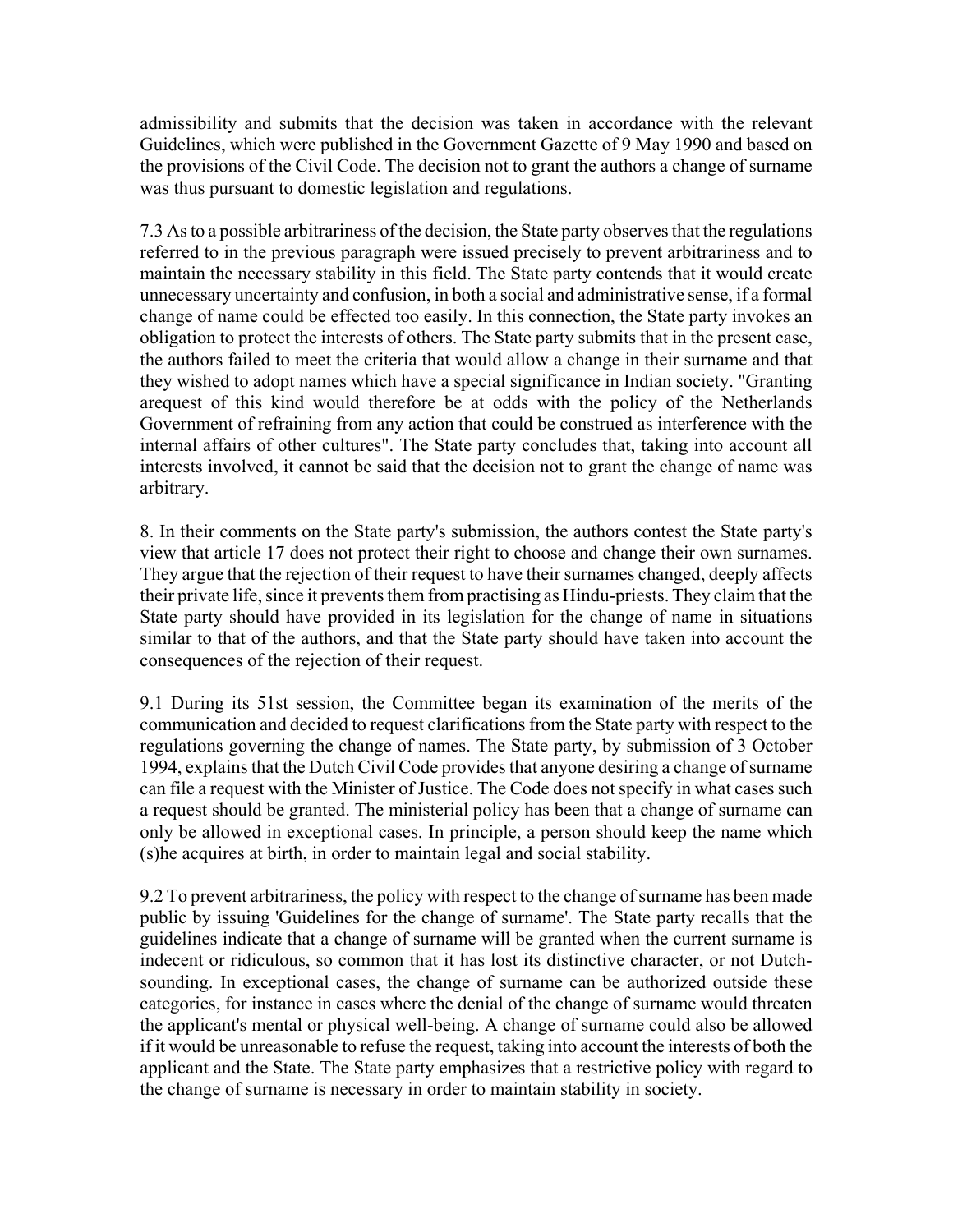admissibility and submits that the decision was taken in accordance with the relevant Guidelines, which were published in the Government Gazette of 9 May 1990 and based on the provisions of the Civil Code. The decision not to grant the authors a change of surname was thus pursuant to domestic legislation and regulations.

7.3 As to a possible arbitrariness of the decision, the State party observes that the regulations referred to in the previous paragraph were issued precisely to prevent arbitrariness and to maintain the necessary stability in this field. The State party contends that it would create unnecessary uncertainty and confusion, in both a social and administrative sense, if a formal change of name could be effected too easily. In this connection, the State party invokes an obligation to protect the interests of others. The State party submits that in the present case, the authors failed to meet the criteria that would allow a change in their surname and that they wished to adopt names which have a special significance in Indian society. "Granting arequest of this kind would therefore be at odds with the policy of the Netherlands Government of refraining from any action that could be construed as interference with the internal affairs of other cultures". The State party concludes that, taking into account all interests involved, it cannot be said that the decision not to grant the change of name was arbitrary.

8. In their comments on the State party's submission, the authors contest the State party's view that article 17 does not protect their right to choose and change their own surnames. They argue that the rejection of their request to have their surnames changed, deeply affects their private life, since it prevents them from practising as Hindu-priests. They claim that the State party should have provided in its legislation for the change of name in situations similar to that of the authors, and that the State party should have taken into account the consequences of the rejection of their request.

9.1 During its 51st session, the Committee began its examination of the merits of the communication and decided to request clarifications from the State party with respect to the regulations governing the change of names. The State party, by submission of 3 October 1994, explains that the Dutch Civil Code provides that anyone desiring a change of surname can file a request with the Minister of Justice. The Code does not specify in what cases such a request should be granted. The ministerial policy has been that a change of surname can only be allowed in exceptional cases. In principle, a person should keep the name which (s)he acquires at birth, in order to maintain legal and social stability.

9.2 To prevent arbitrariness, the policy with respect to the change of surname has been made public by issuing 'Guidelines for the change of surname'. The State party recalls that the guidelines indicate that a change of surname will be granted when the current surname is indecent or ridiculous, so common that it has lost its distinctive character, or not Dutchsounding. In exceptional cases, the change of surname can be authorized outside these categories, for instance in cases where the denial of the change of surname would threaten the applicant's mental or physical well-being. A change of surname could also be allowed if it would be unreasonable to refuse the request, taking into account the interests of both the applicant and the State. The State party emphasizes that a restrictive policy with regard to the change of surname is necessary in order to maintain stability in society.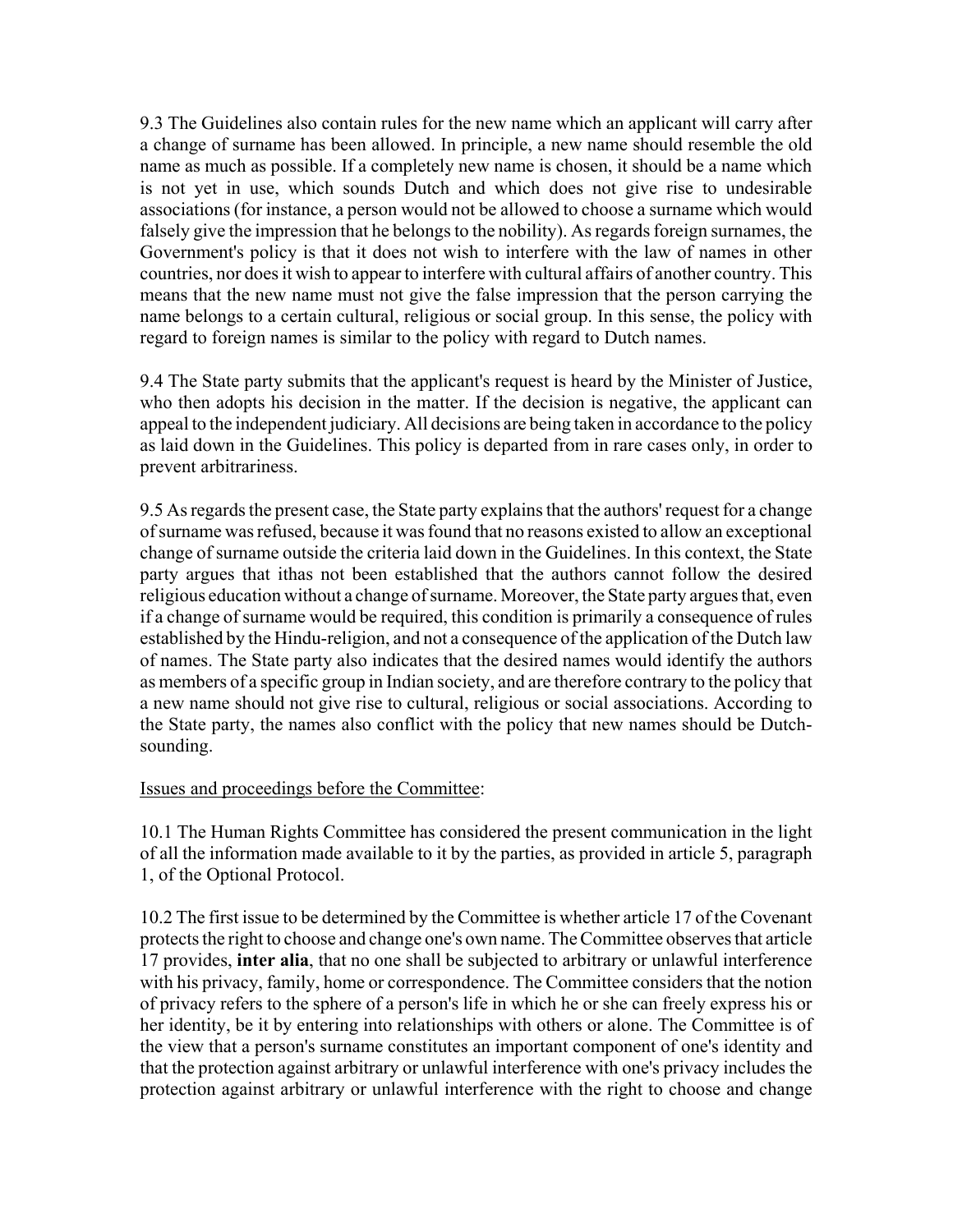9.3 The Guidelines also contain rules for the new name which an applicant will carry after a change of surname has been allowed. In principle, a new name should resemble the old name as much as possible. If a completely new name is chosen, it should be a name which is not yet in use, which sounds Dutch and which does not give rise to undesirable associations (for instance, a person would not be allowed to choose a surname which would falsely give the impression that he belongs to the nobility). As regards foreign surnames, the Government's policy is that it does not wish to interfere with the law of names in other countries, nor does it wish to appear to interfere with cultural affairs of another country. This means that the new name must not give the false impression that the person carrying the name belongs to a certain cultural, religious or social group. In this sense, the policy with regard to foreign names is similar to the policy with regard to Dutch names.

9.4 The State party submits that the applicant's request is heard by the Minister of Justice, who then adopts his decision in the matter. If the decision is negative, the applicant can appeal to the independent judiciary. All decisions are being taken in accordance to the policy as laid down in the Guidelines. This policy is departed from in rare cases only, in order to prevent arbitrariness.

9.5 As regards the present case, the State party explains that the authors' request for a change of surname was refused, because it was found that no reasons existed to allow an exceptional change of surname outside the criteria laid down in the Guidelines. In this context, the State party argues that ithas not been established that the authors cannot follow the desired religious education without a change of surname. Moreover, the State party argues that, even if a change of surname would be required, this condition is primarily a consequence of rules established by the Hindu-religion, and not a consequence of the application of the Dutch law of names. The State party also indicates that the desired names would identify the authors as members of a specific group in Indian society, and are therefore contrary to the policy that a new name should not give rise to cultural, religious or social associations. According to the State party, the names also conflict with the policy that new names should be Dutchsounding.

#### Issues and proceedings before the Committee:

10.1 The Human Rights Committee has considered the present communication in the light of all the information made available to it by the parties, as provided in article 5, paragraph 1, of the Optional Protocol.

10.2 The first issue to be determined by the Committee is whether article 17 of the Covenant protects the right to choose and change one's own name. The Committee observes that article 17 provides, **inter alia**, that no one shall be subjected to arbitrary or unlawful interference with his privacy, family, home or correspondence. The Committee considers that the notion of privacy refers to the sphere of a person's life in which he or she can freely express his or her identity, be it by entering into relationships with others or alone. The Committee is of the view that a person's surname constitutes an important component of one's identity and that the protection against arbitrary or unlawful interference with one's privacy includes the protection against arbitrary or unlawful interference with the right to choose and change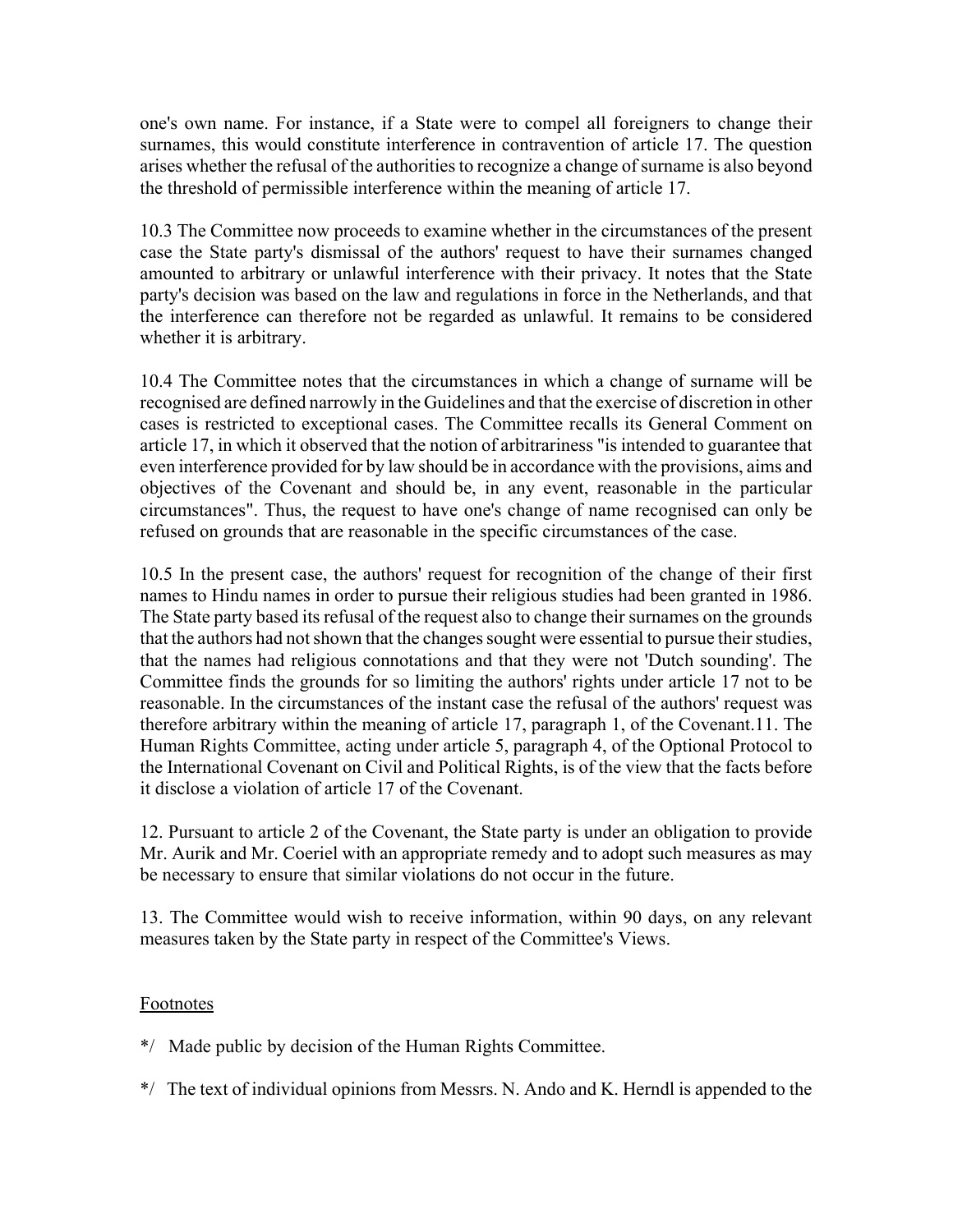one's own name. For instance, if a State were to compel all foreigners to change their surnames, this would constitute interference in contravention of article 17. The question arises whether the refusal of the authorities to recognize a change of surname is also beyond the threshold of permissible interference within the meaning of article 17.

10.3 The Committee now proceeds to examine whether in the circumstances of the present case the State party's dismissal of the authors' request to have their surnames changed amounted to arbitrary or unlawful interference with their privacy. It notes that the State party's decision was based on the law and regulations in force in the Netherlands, and that the interference can therefore not be regarded as unlawful. It remains to be considered whether it is arbitrary.

10.4 The Committee notes that the circumstances in which a change of surname will be recognised are defined narrowly in the Guidelines and that the exercise of discretion in other cases is restricted to exceptional cases. The Committee recalls its General Comment on article 17, in which it observed that the notion of arbitrariness "is intended to guarantee that even interference provided for by law should be in accordance with the provisions, aims and objectives of the Covenant and should be, in any event, reasonable in the particular circumstances". Thus, the request to have one's change of name recognised can only be refused on grounds that are reasonable in the specific circumstances of the case.

10.5 In the present case, the authors' request for recognition of the change of their first names to Hindu names in order to pursue their religious studies had been granted in 1986. The State party based its refusal of the request also to change their surnames on the grounds that the authors had not shown that the changes sought were essential to pursue their studies, that the names had religious connotations and that they were not 'Dutch sounding'. The Committee finds the grounds for so limiting the authors' rights under article 17 not to be reasonable. In the circumstances of the instant case the refusal of the authors' request was therefore arbitrary within the meaning of article 17, paragraph 1, of the Covenant.11. The Human Rights Committee, acting under article 5, paragraph 4, of the Optional Protocol to the International Covenant on Civil and Political Rights, is of the view that the facts before it disclose a violation of article 17 of the Covenant.

12. Pursuant to article 2 of the Covenant, the State party is under an obligation to provide Mr. Aurik and Mr. Coeriel with an appropriate remedy and to adopt such measures as may be necessary to ensure that similar violations do not occur in the future.

13. The Committee would wish to receive information, within 90 days, on any relevant measures taken by the State party in respect of the Committee's Views.

## Footnotes

\*/ Made public by decision of the Human Rights Committee.

\*/ The text of individual opinions from Messrs. N. Ando and K. Herndl is appended to the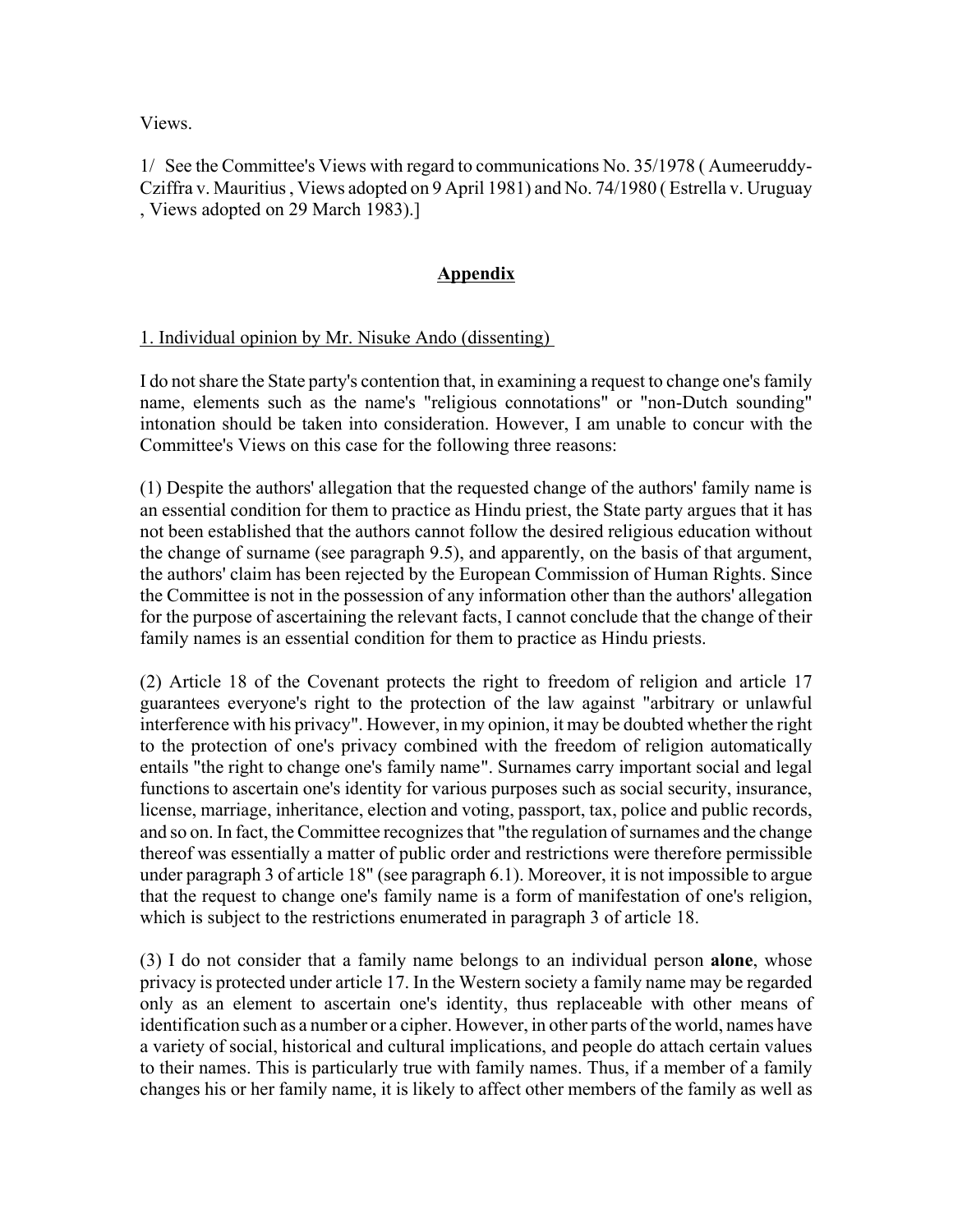Views.

1/ See the Committee's Views with regard to communications No. 35/1978 ( Aumeeruddy-Cziffra v. Mauritius , Views adopted on 9 April 1981) and No. 74/1980 ( Estrella v. Uruguay , Views adopted on 29 March 1983).]

## **Appendix**

#### 1. Individual opinion by Mr. Nisuke Ando (dissenting)

I do not share the State party's contention that, in examining a request to change one's family name, elements such as the name's "religious connotations" or "non-Dutch sounding" intonation should be taken into consideration. However, I am unable to concur with the Committee's Views on this case for the following three reasons:

(1) Despite the authors' allegation that the requested change of the authors' family name is an essential condition for them to practice as Hindu priest, the State party argues that it has not been established that the authors cannot follow the desired religious education without the change of surname (see paragraph 9.5), and apparently, on the basis of that argument, the authors' claim has been rejected by the European Commission of Human Rights. Since the Committee is not in the possession of any information other than the authors' allegation for the purpose of ascertaining the relevant facts, I cannot conclude that the change of their family names is an essential condition for them to practice as Hindu priests.

(2) Article 18 of the Covenant protects the right to freedom of religion and article 17 guarantees everyone's right to the protection of the law against "arbitrary or unlawful interference with his privacy". However, in my opinion, it may be doubted whether the right to the protection of one's privacy combined with the freedom of religion automatically entails "the right to change one's family name". Surnames carry important social and legal functions to ascertain one's identity for various purposes such as social security, insurance, license, marriage, inheritance, election and voting, passport, tax, police and public records, and so on. In fact, the Committee recognizes that "the regulation of surnames and the change thereof was essentially a matter of public order and restrictions were therefore permissible under paragraph 3 of article 18" (see paragraph 6.1). Moreover, it is not impossible to argue that the request to change one's family name is a form of manifestation of one's religion, which is subject to the restrictions enumerated in paragraph 3 of article 18.

(3) I do not consider that a family name belongs to an individual person **alone**, whose privacy is protected under article 17. In the Western society a family name may be regarded only as an element to ascertain one's identity, thus replaceable with other means of identification such as a number or a cipher. However, in other parts of the world, names have a variety of social, historical and cultural implications, and people do attach certain values to their names. This is particularly true with family names. Thus, if a member of a family changes his or her family name, it is likely to affect other members of the family as well as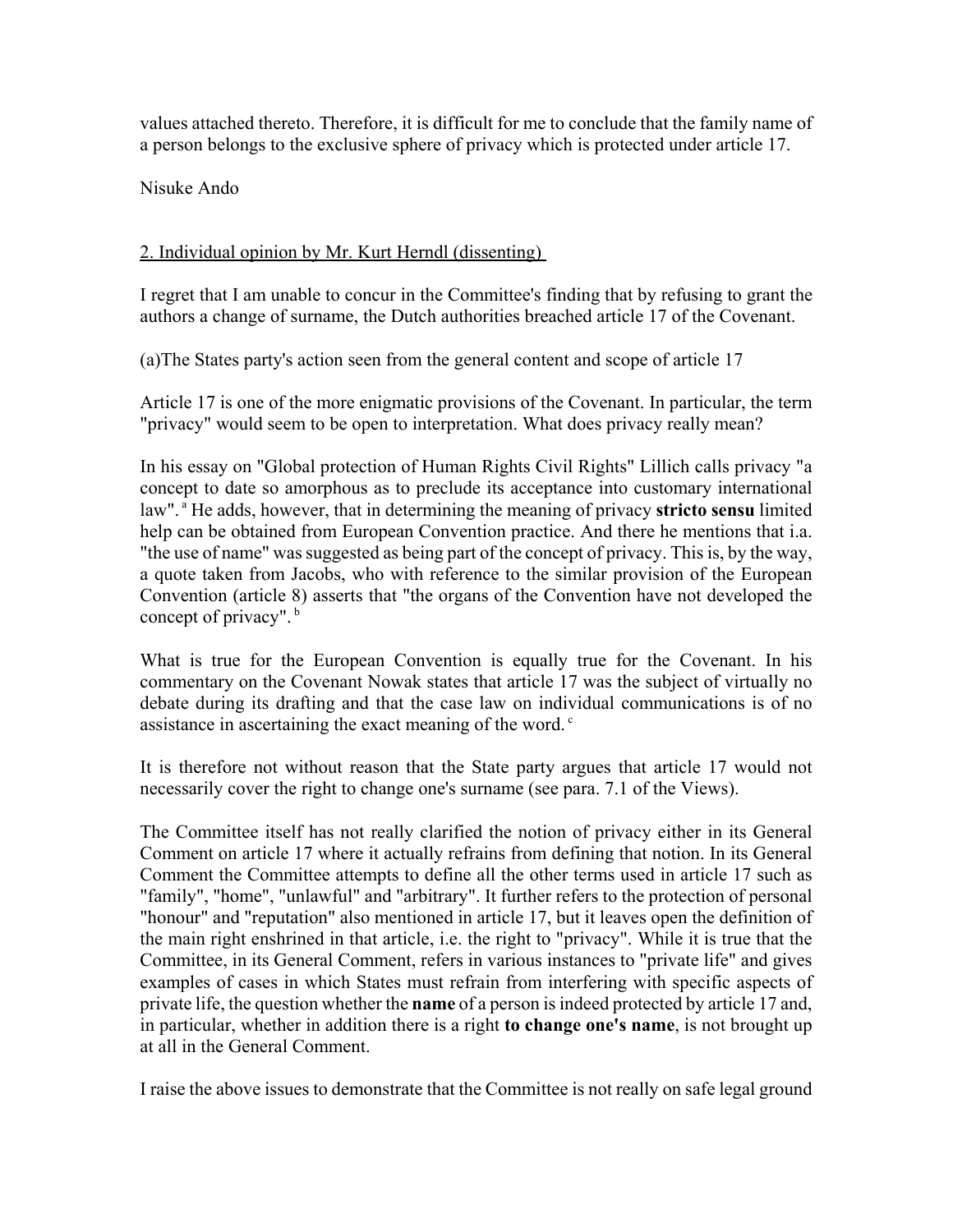values attached thereto. Therefore, it is difficult for me to conclude that the family name of a person belongs to the exclusive sphere of privacy which is protected under article 17.

Nisuke Ando

## 2. Individual opinion by Mr. Kurt Herndl (dissenting)

I regret that I am unable to concur in the Committee's finding that by refusing to grant the authors a change of surname, the Dutch authorities breached article 17 of the Covenant.

(a)The States party's action seen from the general content and scope of article 17

Article 17 is one of the more enigmatic provisions of the Covenant. In particular, the term "privacy" would seem to be open to interpretation. What does privacy really mean?

In his essay on "Global protection of Human Rights Civil Rights" Lillich calls privacy "a concept to date so amorphous as to preclude its acceptance into customary international law".<sup>a</sup> He adds, however, that in determining the meaning of privacy **stricto sensu** limited help can be obtained from European Convention practice. And there he mentions that i.a. "the use of name" was suggested as being part of the concept of privacy. This is, by the way, a quote taken from Jacobs, who with reference to the similar provision of the European Convention (article 8) asserts that "the organs of the Convention have not developed the concept of privacy". b

What is true for the European Convention is equally true for the Covenant. In his commentary on the Covenant Nowak states that article 17 was the subject of virtually no debate during its drafting and that the case law on individual communications is of no assistance in ascertaining the exact meaning of the word.<sup>c</sup>

It is therefore not without reason that the State party argues that article 17 would not necessarily cover the right to change one's surname (see para. 7.1 of the Views).

The Committee itself has not really clarified the notion of privacy either in its General Comment on article 17 where it actually refrains from defining that notion. In its General Comment the Committee attempts to define all the other terms used in article 17 such as "family", "home", "unlawful" and "arbitrary". It further refers to the protection of personal "honour" and "reputation" also mentioned in article 17, but it leaves open the definition of the main right enshrined in that article, i.e. the right to "privacy". While it is true that the Committee, in its General Comment, refers in various instances to "private life" and gives examples of cases in which States must refrain from interfering with specific aspects of private life, the question whether the **name** of a person is indeed protected by article 17 and, in particular, whether in addition there is a right **to change one's name**, is not brought up at all in the General Comment.

I raise the above issues to demonstrate that the Committee is not really on safe legal ground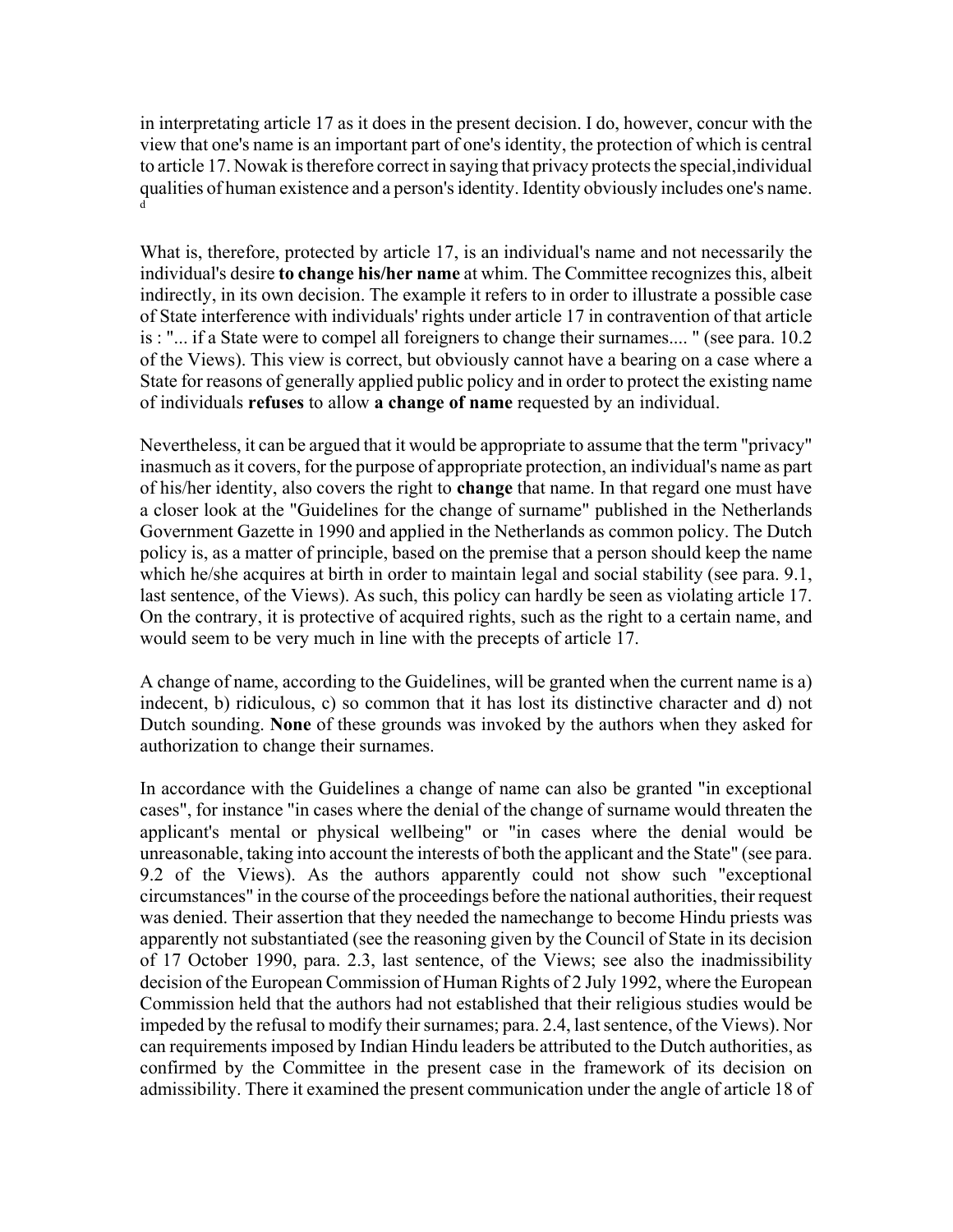in interpretating article 17 as it does in the present decision. I do, however, concur with the view that one's name is an important part of one's identity, the protection of which is central to article 17. Nowak is therefore correct in saying that privacy protects the special,individual qualities of human existence and a person's identity. Identity obviously includes one's name. d

What is, therefore, protected by article 17, is an individual's name and not necessarily the individual's desire **to change his/her name** at whim. The Committee recognizes this, albeit indirectly, in its own decision. The example it refers to in order to illustrate a possible case of State interference with individuals' rights under article 17 in contravention of that article is : "... if a State were to compel all foreigners to change their surnames.... " (see para. 10.2 of the Views). This view is correct, but obviously cannot have a bearing on a case where a State for reasons of generally applied public policy and in order to protect the existing name of individuals **refuses** to allow **a change of name** requested by an individual.

Nevertheless, it can be argued that it would be appropriate to assume that the term "privacy" inasmuch as it covers, for the purpose of appropriate protection, an individual's name as part of his/her identity, also covers the right to **change** that name. In that regard one must have a closer look at the "Guidelines for the change of surname" published in the Netherlands Government Gazette in 1990 and applied in the Netherlands as common policy. The Dutch policy is, as a matter of principle, based on the premise that a person should keep the name which he/she acquires at birth in order to maintain legal and social stability (see para. 9.1, last sentence, of the Views). As such, this policy can hardly be seen as violating article 17. On the contrary, it is protective of acquired rights, such as the right to a certain name, and would seem to be very much in line with the precepts of article 17.

A change of name, according to the Guidelines, will be granted when the current name is a) indecent, b) ridiculous, c) so common that it has lost its distinctive character and d) not Dutch sounding. **None** of these grounds was invoked by the authors when they asked for authorization to change their surnames.

In accordance with the Guidelines a change of name can also be granted "in exceptional cases", for instance "in cases where the denial of the change of surname would threaten the applicant's mental or physical wellbeing" or "in cases where the denial would be unreasonable, taking into account the interests of both the applicant and the State" (see para. 9.2 of the Views). As the authors apparently could not show such "exceptional circumstances" in the course of the proceedings before the national authorities, their request was denied. Their assertion that they needed the namechange to become Hindu priests was apparently not substantiated (see the reasoning given by the Council of State in its decision of 17 October 1990, para. 2.3, last sentence, of the Views; see also the inadmissibility decision of the European Commission of Human Rights of 2 July 1992, where the European Commission held that the authors had not established that their religious studies would be impeded by the refusal to modify their surnames; para. 2.4, last sentence, of the Views). Nor can requirements imposed by Indian Hindu leaders be attributed to the Dutch authorities, as confirmed by the Committee in the present case in the framework of its decision on admissibility. There it examined the present communication under the angle of article 18 of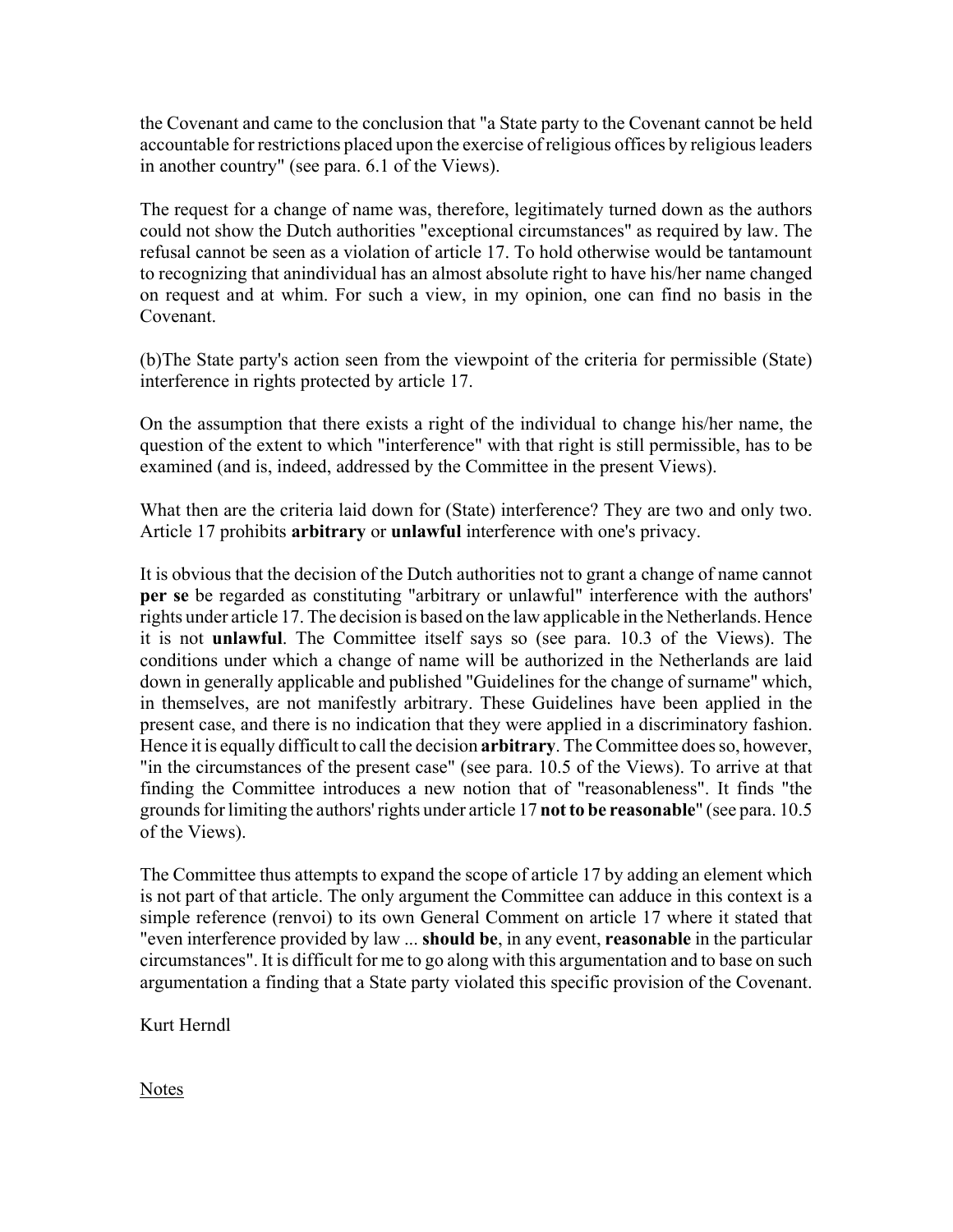the Covenant and came to the conclusion that "a State party to the Covenant cannot be held accountable for restrictions placed upon the exercise of religious offices by religious leaders in another country" (see para. 6.1 of the Views).

The request for a change of name was, therefore, legitimately turned down as the authors could not show the Dutch authorities "exceptional circumstances" as required by law. The refusal cannot be seen as a violation of article 17. To hold otherwise would be tantamount to recognizing that anindividual has an almost absolute right to have his/her name changed on request and at whim. For such a view, in my opinion, one can find no basis in the Covenant.

(b)The State party's action seen from the viewpoint of the criteria for permissible (State) interference in rights protected by article 17.

On the assumption that there exists a right of the individual to change his/her name, the question of the extent to which "interference" with that right is still permissible, has to be examined (and is, indeed, addressed by the Committee in the present Views).

What then are the criteria laid down for (State) interference? They are two and only two. Article 17 prohibits **arbitrary** or **unlawful** interference with one's privacy.

It is obvious that the decision of the Dutch authorities not to grant a change of name cannot **per se** be regarded as constituting "arbitrary or unlawful" interference with the authors' rights under article 17. The decision is based on the law applicable in the Netherlands. Hence it is not **unlawful**. The Committee itself says so (see para. 10.3 of the Views). The conditions under which a change of name will be authorized in the Netherlands are laid down in generally applicable and published "Guidelines for the change of surname" which, in themselves, are not manifestly arbitrary. These Guidelines have been applied in the present case, and there is no indication that they were applied in a discriminatory fashion. Hence it is equally difficult to call the decision **arbitrary**. The Committee does so, however, "in the circumstances of the present case" (see para. 10.5 of the Views). To arrive at that finding the Committee introduces a new notion that of "reasonableness". It finds "the grounds for limiting the authors' rights under article 17 **not to be reasonable**" (see para. 10.5 of the Views).

The Committee thus attempts to expand the scope of article 17 by adding an element which is not part of that article. The only argument the Committee can adduce in this context is a simple reference (renvoi) to its own General Comment on article 17 where it stated that "even interference provided by law ... **should be**, in any event, **reasonable** in the particular circumstances". It is difficult for me to go along with this argumentation and to base on such argumentation a finding that a State party violated this specific provision of the Covenant.

Kurt Herndl

**Notes**